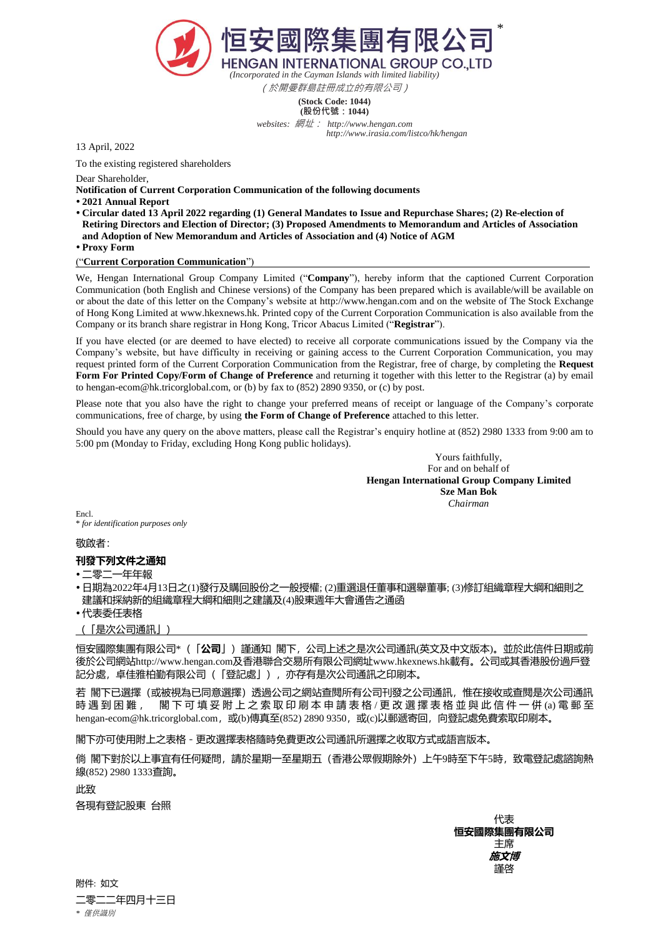

(於開曼群島註冊成立的有限公司)

**(Stock Code: 1044) (股份代號:1044)**

*websites:* 網址: *http://www.hengan.com http://www.irasia.com/listco/hk/hengan*

13 April, 2022

To the existing registered shareholders

Dear Shareholder,

**Notification of Current Corporation Communication of the following documents**

- **2021 Annual Report**
- **Circular dated 13 April 2022 regarding (1) General Mandates to Issue and Repurchase Shares; (2) Re-election of Retiring Directors and Election of Director; (3) Proposed Amendments to Memorandum and Articles of Association and Adoption of New Memorandum and Articles of Association and (4) Notice of AGM**
- **Proxy Form**

("**Current Corporation Communication**")

We, Hengan International Group Company Limited ("**Company**"), hereby inform that the captioned Current Corporation Communication (both English and Chinese versions) of the Company has been prepared which is available/will be available on or about the date of this letter on the Company's website at http://www.hengan.com and on the website of The Stock Exchange of Hong Kong Limited at www.hkexnews.hk. Printed copy of the Current Corporation Communication is also available from the Company or its branch share registrar in Hong Kong, Tricor Abacus Limited ("**Registrar**").

If you have elected (or are deemed to have elected) to receive all corporate communications issued by the Company via the Company's website, but have difficulty in receiving or gaining access to the Current Corporation Communication, you may request printed form of the Current Corporation Communication from the Registrar, free of charge, by completing the **Request Form For Printed Copy/Form of Change of Preference** and returning it together with this letter to the Registrar (a) by email to hengan-ecom@hk.tricorglobal.com, or (b) by fax to (852) 2890 9350, or (c) by post.

Please note that you also have the right to change your preferred means of receipt or language of the Company's corporate communications, free of charge, by using **the Form of Change of Preference** attached to this letter.

Should you have any query on the above matters, please call the Registrar's enquiry hotline at (852) 2980 1333 from 9:00 am to 5:00 pm (Monday to Friday, excluding Hong Kong public holidays).

> Yours faithfully, For and on behalf of **Hengan International Group Company Limited Sze Man Bok** *Chairman*

Encl. \* *for identification purposes only* 

敬啟者:

## **刊發下列文件之通知**

二零二一年年報

- 日期為2022年4月13日之(1)發行及購回股份之一般授權; (2)重選退任董事和選舉董事; (3)修訂組織章程大綱和細則之 建議和採納新的組織章程大綱和細則之建議及(4)股東週年大會通告之通函
- 代表委任表格

(「是次公司通訊」)

恒安國際集團有限公司\*(「**公司**」)謹通知 閣下,公司上述之是次公司通訊(英文及中文版本)。並於此信件日期或前 後於公司網站http://www.hengan.com及香港聯合交易所有限公司網址www.hkexnews.hk載有。公司或其香港股份過戶登 記分處,卓佳雅柏勤有限公司(「登記處」),亦存有是次公司通訊之印刷本。

若 閣下已選擇(或被視為已同意選擇)透過公司之網站查閱所有公司刊發之公司通訊,惟在接收或查閱是次公司通訊 時 遇 到 困 難 , 閣 下 可 填 妥 附 上 之 索 取 印 刷 本 申 請 表 格 / 更 改 選 擇 表 格 並 與 此 信 件 一 併 (a) 電 郵 至 hengan-ecom@hk.tricorglobal.com, 或(b)傳真至(852) 2890 9350, 或(c)以郵遞寄回, 向登記處免費索取印刷本。

閣下亦可使用附上之表格-更改選擇表格隨時免費更改公司通訊所選擇之收取方式或語言版本。

倘 閣下對於以上事宜有任何疑問,請於星期一至星期五(香港公眾假期除外)上午9時至下午5時,致電登記處諮詢熱 線(852) 2980 1333查詢。

此级

各現有登記股東 台照

代表 **恒安國際集團有限公司** 主席 **施文博** 謹啓

附件: 如文 二零二二年四月十三日 *\** 僅供識別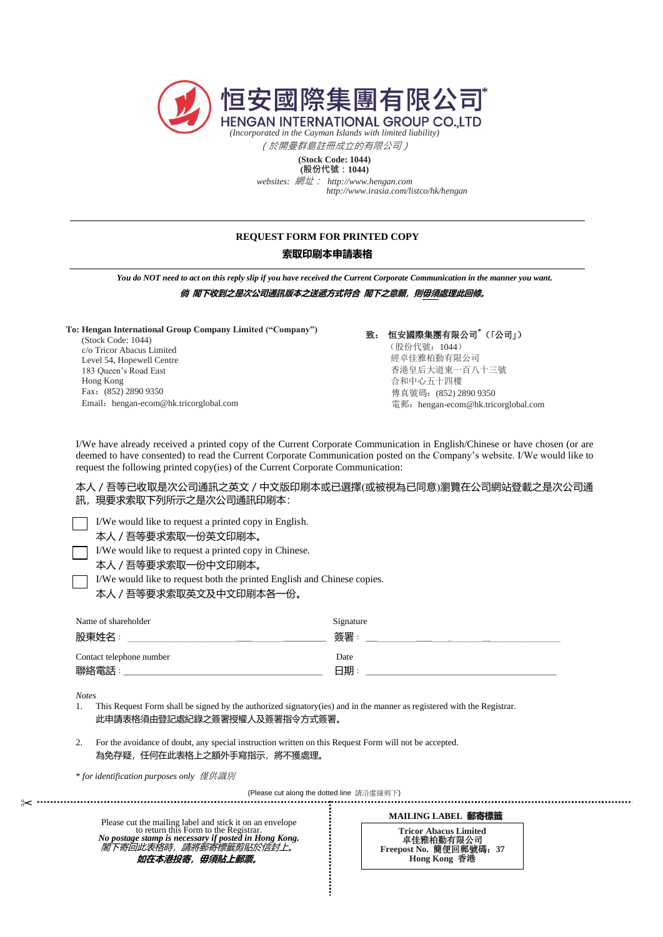

(於開曼群島註冊成立的有限公司)

**(Stock Code: 1044) (股份代號:1044)**

*websites:* 網址: *http://www.hengan.com http://www.irasia.com/listco/hk/hengan*

## **REQUEST FORM FOR PRINTED COPY**

## **索取印刷本申請表格**

*You do NOT need to act on this reply slip if you have received the Current Corporate Communication in the manner you want.*

**倘 閣下收到之是次公司通訊版本之送遞方式符合 閣下之意願,則毋須處理此回條。**

**To: Hengan International Group Company Limited ("Company")**

(Stock Code: 1044) c/o Tricor Abacus Limited Level 54, Hopewell Centre 183 Queen's Road East Hong Kong Fax:(852) 2890 9350 Email: hengan-ecom@hk.tricorglobal.com 致: 恒安國際集團有限公司**\***(「公司」) (股份代號:1044) 經卓佳雅柏勤有限公司 香港皇后大道東一百八十三號 合和中心五十四樓 傳真號碼:(852) 2890 9350 電郵:hengan-ecom@hk.tricorglobal.com

I/We have already received a printed copy of the Current Corporate Communication in English/Chinese or have chosen (or are deemed to have consented) to read the Current Corporate Communication posted on the Company's website. I/We would like to request the following printed copy(ies) of the Current Corporate Communication:

本人/吾等已收取是次公司通訊之英文/中文版印刷本或已選擇(或被視為已同意)瀏覽在公司網站登載之是次公司通 訊,現要求索取下列所示之是次公司通訊印刷本:

I/We would like to request a printed copy in English.

本人/吾等要求索取一份英文印刷本。

I/We would like to request a printed copy in Chinese.

本人/吾等要求索取一份中文印刷本。

I/We would like to request both the printed English and Chinese copies.

本人/吾等要求索取英文及中文印刷本各一份。

| Name of shareholder      | Signature |
|--------------------------|-----------|
| 股東姓名:                    | 簽署        |
| Contact telephone number | Date      |
| 聯絡電話:                    | 日期        |

*Notes* 

1. This Request Form shall be signed by the authorized signatory(ies) and in the manner as registered with the Registrar. 此申請表格須由登記處紀錄之簽署授權人及簽署指令方式簽署。

2. For the avoidance of doubt, any special instruction written on this Request Form will not be accepted. 為免存疑,任何在此表格上之額外手寫指示,將不獲處理。

\* *for identification purposes only* 僅供識別

✂ (Please cut along the dotted line 請沿虛線剪下)

Please cut the mailing label and stick it on an envelope to return this Form to the Registra *No postage stamp is necessary if posted in Hong Kong.* 閣下寄回此表格時,請將郵寄標籤剪貼於信封上。 如在本港投寄, **毋須貼上郵票**。

**MAILING LABEL 郵寄標籤 Tricor Abacus Limited** 卓佳雅柏勤有限公司 **Freepost No.** 簡便回郵號碼:**37 Hong Kong** 香港